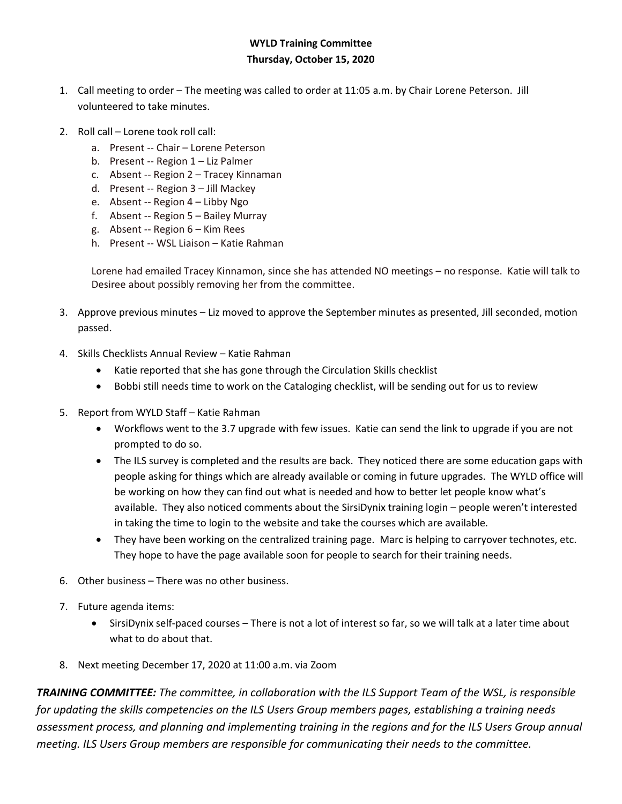## **WYLD Training Committee Thursday, October 15, 2020**

- 1. Call meeting to order The meeting was called to order at 11:05 a.m. by Chair Lorene Peterson. Jill volunteered to take minutes.
- 2. Roll call Lorene took roll call:
	- a. Present -- Chair Lorene Peterson
	- b. Present -- Region 1 Liz Palmer
	- c. Absent -- Region 2 Tracey Kinnaman
	- d. Present -- Region 3 Jill Mackey
	- e. Absent -- Region 4 Libby Ngo
	- f. Absent -- Region 5 Bailey Murray
	- g. Absent -- Region 6 Kim Rees
	- h. Present -- WSL Liaison Katie Rahman

Lorene had emailed Tracey Kinnamon, since she has attended NO meetings – no response. Katie will talk to Desiree about possibly removing her from the committee.

- 3. Approve previous minutes Liz moved to approve the September minutes as presented, Jill seconded, motion passed.
- 4. Skills Checklists Annual Review Katie Rahman
	- Katie reported that she has gone through the Circulation Skills checklist
	- Bobbi still needs time to work on the Cataloging checklist, will be sending out for us to review
- 5. Report from WYLD Staff Katie Rahman
	- Workflows went to the 3.7 upgrade with few issues. Katie can send the link to upgrade if you are not prompted to do so.
	- The ILS survey is completed and the results are back. They noticed there are some education gaps with people asking for things which are already available or coming in future upgrades. The WYLD office will be working on how they can find out what is needed and how to better let people know what's available. They also noticed comments about the SirsiDynix training login – people weren't interested in taking the time to login to the website and take the courses which are available.
	- They have been working on the centralized training page. Marc is helping to carryover technotes, etc. They hope to have the page available soon for people to search for their training needs.
- 6. Other business There was no other business.
- 7. Future agenda items:
	- SirsiDynix self-paced courses There is not a lot of interest so far, so we will talk at a later time about what to do about that.
- 8. Next meeting December 17, 2020 at 11:00 a.m. via Zoom

*TRAINING COMMITTEE: The committee, in collaboration with the ILS Support Team of the WSL, is responsible for updating the skills competencies on the ILS Users Group members pages, establishing a training needs assessment process, and planning and implementing training in the regions and for the ILS Users Group annual meeting. ILS Users Group members are responsible for communicating their needs to the committee.*